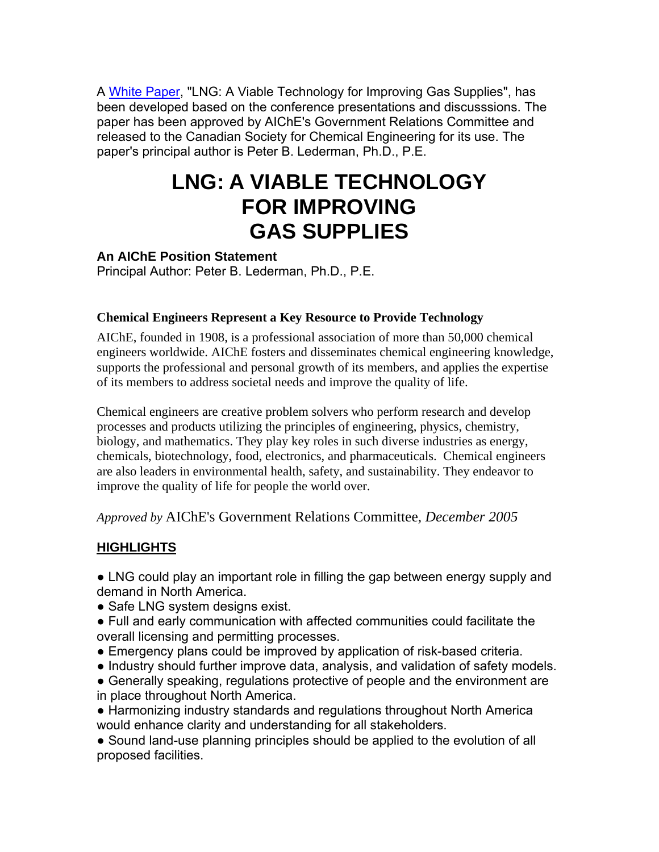A White Paper, "LNG: A Viable Technology for Improving Gas Supplies", has been developed based on the conference presentations and discusssions. The paper has been approved by AIChE's Government Relations Committee and released to the Canadian Society for Chemical Engineering for its use. The paper's principal author is Peter B. Lederman, Ph.D., P.E.

# **LNG: A VIABLE TECHNOLOGY FOR IMPROVING GAS SUPPLIES**

### **An AIChE Position Statement**

Principal Author: Peter B. Lederman, Ph.D., P.E.

#### **Chemical Engineers Represent a Key Resource to Provide Technology**

AIChE, founded in 1908, is a professional association of more than 50,000 chemical engineers worldwide. AIChE fosters and disseminates chemical engineering knowledge, supports the professional and personal growth of its members, and applies the expertise of its members to address societal needs and improve the quality of life.

Chemical engineers are creative problem solvers who perform research and develop processes and products utilizing the principles of engineering, physics, chemistry, biology, and mathematics. They play key roles in such diverse industries as energy, chemicals, biotechnology, food, electronics, and pharmaceuticals. Chemical engineers are also leaders in environmental health, safety, and sustainability. They endeavor to improve the quality of life for people the world over.

## *Approved by* AIChE's Government Relations Committee, *December 2005*

## **HIGHLIGHTS**

• LNG could play an important role in filling the gap between energy supply and demand in North America.

- Safe LNG system designs exist.
- Full and early communication with affected communities could facilitate the overall licensing and permitting processes.
- Emergency plans could be improved by application of risk-based criteria.
- Industry should further improve data, analysis, and validation of safety models.
- Generally speaking, regulations protective of people and the environment are in place throughout North America.

• Harmonizing industry standards and regulations throughout North America would enhance clarity and understanding for all stakeholders.

• Sound land-use planning principles should be applied to the evolution of all proposed facilities.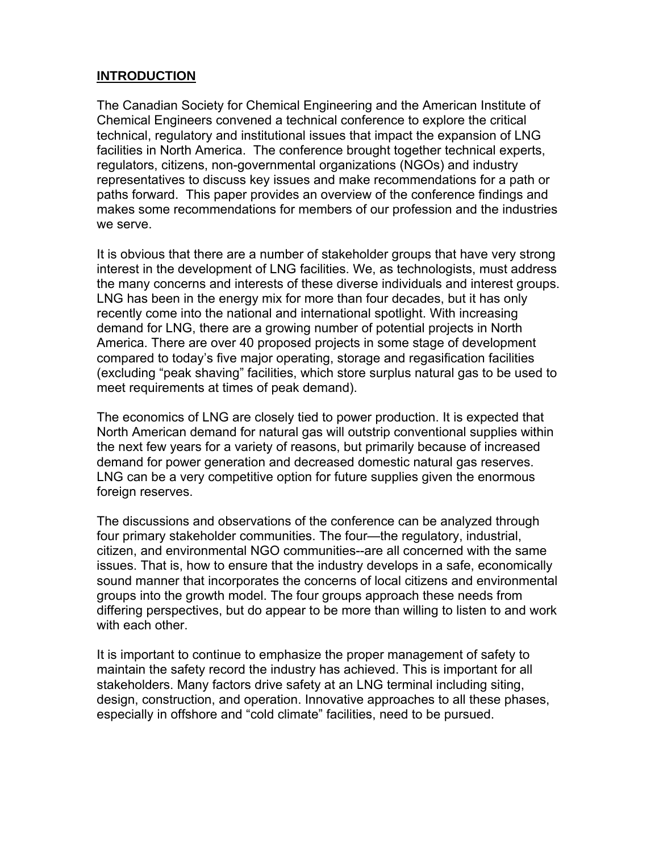## **INTRODUCTION**

The Canadian Society for Chemical Engineering and the American Institute of Chemical Engineers convened a technical conference to explore the critical technical, regulatory and institutional issues that impact the expansion of LNG facilities in North America. The conference brought together technical experts, regulators, citizens, non-governmental organizations (NGOs) and industry representatives to discuss key issues and make recommendations for a path or paths forward. This paper provides an overview of the conference findings and makes some recommendations for members of our profession and the industries we serve.

It is obvious that there are a number of stakeholder groups that have very strong interest in the development of LNG facilities. We, as technologists, must address the many concerns and interests of these diverse individuals and interest groups. LNG has been in the energy mix for more than four decades, but it has only recently come into the national and international spotlight. With increasing demand for LNG, there are a growing number of potential projects in North America. There are over 40 proposed projects in some stage of development compared to today's five major operating, storage and regasification facilities (excluding "peak shaving" facilities, which store surplus natural gas to be used to meet requirements at times of peak demand).

The economics of LNG are closely tied to power production. It is expected that North American demand for natural gas will outstrip conventional supplies within the next few years for a variety of reasons, but primarily because of increased demand for power generation and decreased domestic natural gas reserves. LNG can be a very competitive option for future supplies given the enormous foreign reserves.

The discussions and observations of the conference can be analyzed through four primary stakeholder communities. The four—the regulatory, industrial, citizen, and environmental NGO communities--are all concerned with the same issues. That is, how to ensure that the industry develops in a safe, economically sound manner that incorporates the concerns of local citizens and environmental groups into the growth model. The four groups approach these needs from differing perspectives, but do appear to be more than willing to listen to and work with each other.

It is important to continue to emphasize the proper management of safety to maintain the safety record the industry has achieved. This is important for all stakeholders. Many factors drive safety at an LNG terminal including siting, design, construction, and operation. Innovative approaches to all these phases, especially in offshore and "cold climate" facilities, need to be pursued.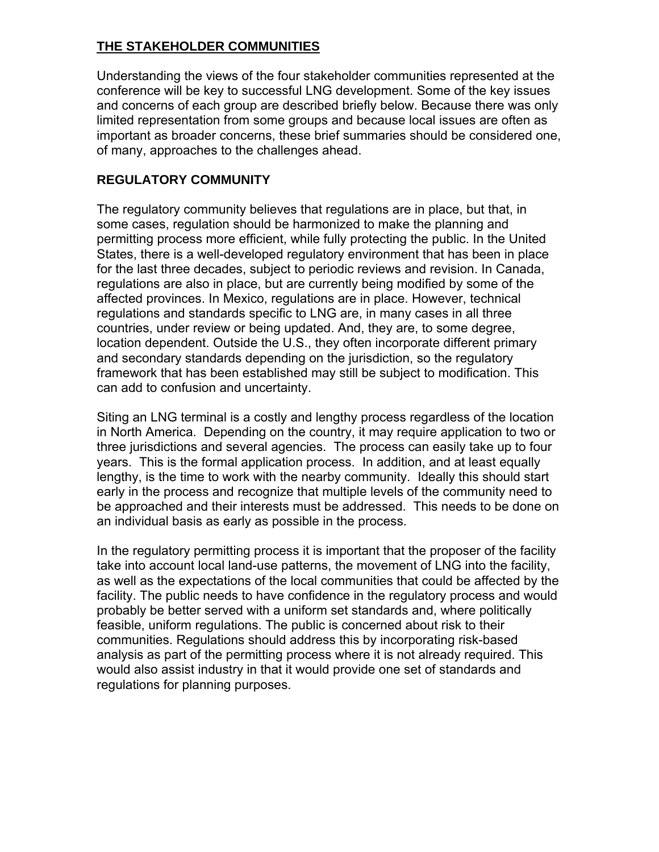# **THE STAKEHOLDER COMMUNITIES**

Understanding the views of the four stakeholder communities represented at the conference will be key to successful LNG development. Some of the key issues and concerns of each group are described briefly below. Because there was only limited representation from some groups and because local issues are often as important as broader concerns, these brief summaries should be considered one, of many, approaches to the challenges ahead.

## **REGULATORY COMMUNITY**

The regulatory community believes that regulations are in place, but that, in some cases, regulation should be harmonized to make the planning and permitting process more efficient, while fully protecting the public. In the United States, there is a well-developed regulatory environment that has been in place for the last three decades, subject to periodic reviews and revision. In Canada, regulations are also in place, but are currently being modified by some of the affected provinces. In Mexico, regulations are in place. However, technical regulations and standards specific to LNG are, in many cases in all three countries, under review or being updated. And, they are, to some degree, location dependent. Outside the U.S., they often incorporate different primary and secondary standards depending on the jurisdiction, so the regulatory framework that has been established may still be subject to modification. This can add to confusion and uncertainty.

Siting an LNG terminal is a costly and lengthy process regardless of the location in North America. Depending on the country, it may require application to two or three jurisdictions and several agencies. The process can easily take up to four years. This is the formal application process. In addition, and at least equally lengthy, is the time to work with the nearby community. Ideally this should start early in the process and recognize that multiple levels of the community need to be approached and their interests must be addressed. This needs to be done on an individual basis as early as possible in the process.

In the regulatory permitting process it is important that the proposer of the facility take into account local land-use patterns, the movement of LNG into the facility, as well as the expectations of the local communities that could be affected by the facility. The public needs to have confidence in the regulatory process and would probably be better served with a uniform set standards and, where politically feasible, uniform regulations. The public is concerned about risk to their communities. Regulations should address this by incorporating risk-based analysis as part of the permitting process where it is not already required. This would also assist industry in that it would provide one set of standards and regulations for planning purposes.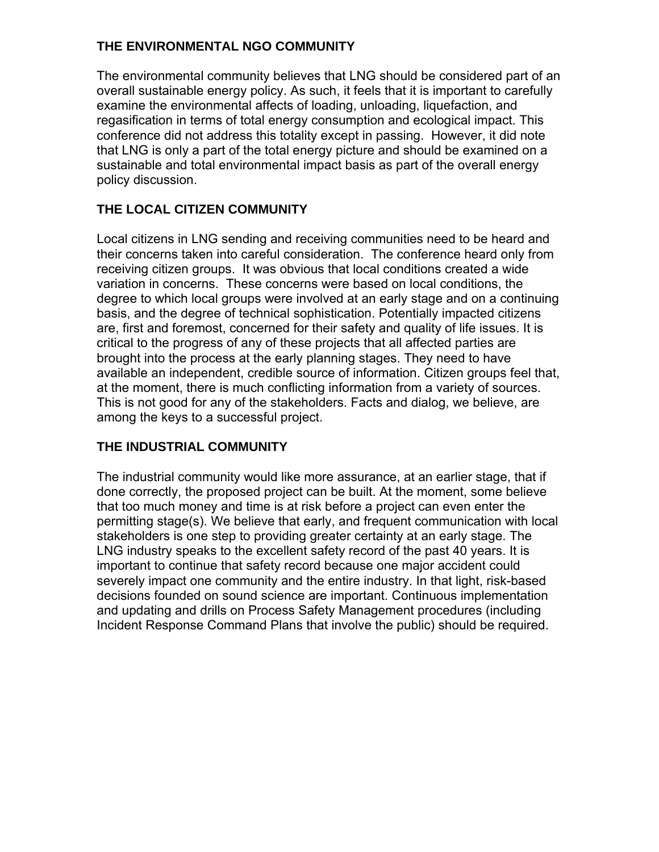## **THE ENVIRONMENTAL NGO COMMUNITY**

The environmental community believes that LNG should be considered part of an overall sustainable energy policy. As such, it feels that it is important to carefully examine the environmental affects of loading, unloading, liquefaction, and regasification in terms of total energy consumption and ecological impact. This conference did not address this totality except in passing. However, it did note that LNG is only a part of the total energy picture and should be examined on a sustainable and total environmental impact basis as part of the overall energy policy discussion.

# **THE LOCAL CITIZEN COMMUNITY**

Local citizens in LNG sending and receiving communities need to be heard and their concerns taken into careful consideration. The conference heard only from receiving citizen groups. It was obvious that local conditions created a wide variation in concerns. These concerns were based on local conditions, the degree to which local groups were involved at an early stage and on a continuing basis, and the degree of technical sophistication. Potentially impacted citizens are, first and foremost, concerned for their safety and quality of life issues. It is critical to the progress of any of these projects that all affected parties are brought into the process at the early planning stages. They need to have available an independent, credible source of information. Citizen groups feel that, at the moment, there is much conflicting information from a variety of sources. This is not good for any of the stakeholders. Facts and dialog, we believe, are among the keys to a successful project.

## **THE INDUSTRIAL COMMUNITY**

The industrial community would like more assurance, at an earlier stage, that if done correctly, the proposed project can be built. At the moment, some believe that too much money and time is at risk before a project can even enter the permitting stage(s). We believe that early, and frequent communication with local stakeholders is one step to providing greater certainty at an early stage. The LNG industry speaks to the excellent safety record of the past 40 years. It is important to continue that safety record because one major accident could severely impact one community and the entire industry. In that light, risk-based decisions founded on sound science are important. Continuous implementation and updating and drills on Process Safety Management procedures (including Incident Response Command Plans that involve the public) should be required.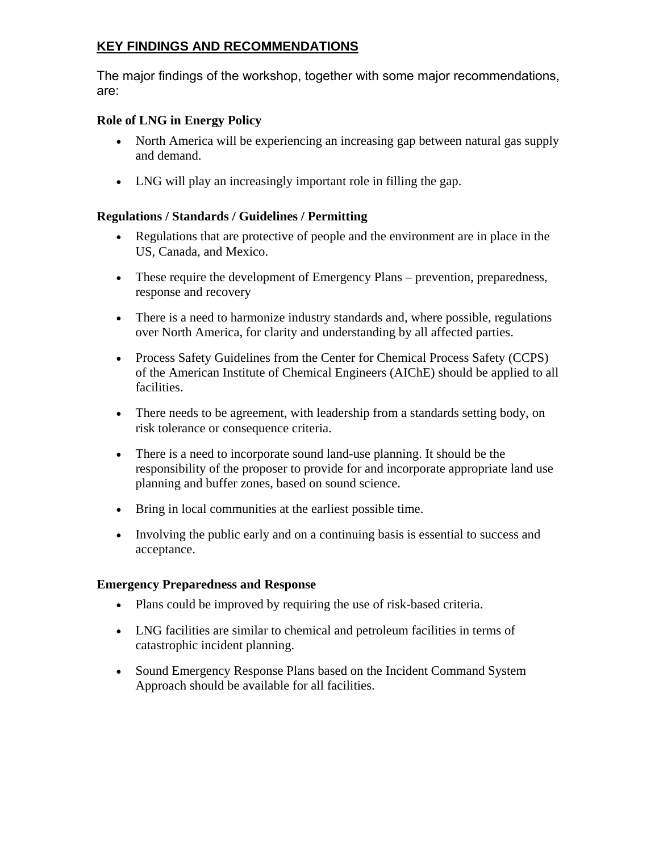# **KEY FINDINGS AND RECOMMENDATIONS**

The major findings of the workshop, together with some major recommendations, are:

#### **Role of LNG in Energy Policy**

- North America will be experiencing an increasing gap between natural gas supply and demand.
- LNG will play an increasingly important role in filling the gap.

### **Regulations / Standards / Guidelines / Permitting**

- Regulations that are protective of people and the environment are in place in the US, Canada, and Mexico.
- These require the development of Emergency Plans prevention, preparedness, response and recovery
- There is a need to harmonize industry standards and, where possible, regulations over North America, for clarity and understanding by all affected parties.
- Process Safety Guidelines from the Center for Chemical Process Safety (CCPS) of the American Institute of Chemical Engineers (AIChE) should be applied to all facilities.
- There needs to be agreement, with leadership from a standards setting body, on risk tolerance or consequence criteria.
- There is a need to incorporate sound land-use planning. It should be the responsibility of the proposer to provide for and incorporate appropriate land use planning and buffer zones, based on sound science.
- Bring in local communities at the earliest possible time.
- Involving the public early and on a continuing basis is essential to success and acceptance.

#### **Emergency Preparedness and Response**

- Plans could be improved by requiring the use of risk-based criteria.
- LNG facilities are similar to chemical and petroleum facilities in terms of catastrophic incident planning.
- Sound Emergency Response Plans based on the Incident Command System Approach should be available for all facilities.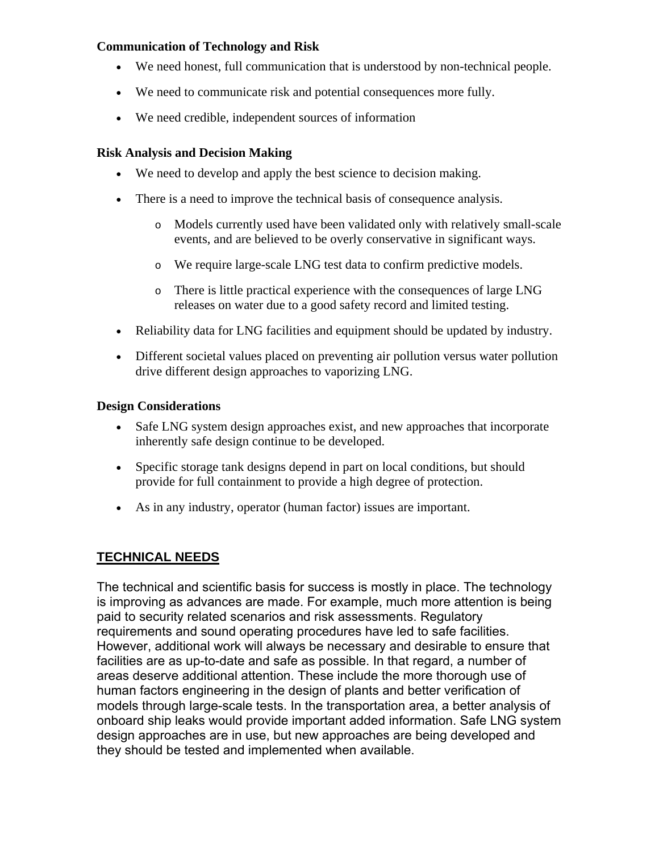#### **Communication of Technology and Risk**

- We need honest, full communication that is understood by non-technical people.
- We need to communicate risk and potential consequences more fully.
- We need credible, independent sources of information

#### **Risk Analysis and Decision Making**

- We need to develop and apply the best science to decision making.
- There is a need to improve the technical basis of consequence analysis.
	- o Models currently used have been validated only with relatively small-scale events, and are believed to be overly conservative in significant ways.
	- o We require large-scale LNG test data to confirm predictive models.
	- o There is little practical experience with the consequences of large LNG releases on water due to a good safety record and limited testing.
- Reliability data for LNG facilities and equipment should be updated by industry.
- Different societal values placed on preventing air pollution versus water pollution drive different design approaches to vaporizing LNG.

#### **Design Considerations**

- Safe LNG system design approaches exist, and new approaches that incorporate inherently safe design continue to be developed.
- Specific storage tank designs depend in part on local conditions, but should provide for full containment to provide a high degree of protection.
- As in any industry, operator (human factor) issues are important.

# **TECHNICAL NEEDS**

The technical and scientific basis for success is mostly in place. The technology is improving as advances are made. For example, much more attention is being paid to security related scenarios and risk assessments. Regulatory requirements and sound operating procedures have led to safe facilities. However, additional work will always be necessary and desirable to ensure that facilities are as up-to-date and safe as possible. In that regard, a number of areas deserve additional attention. These include the more thorough use of human factors engineering in the design of plants and better verification of models through large-scale tests. In the transportation area, a better analysis of onboard ship leaks would provide important added information. Safe LNG system design approaches are in use, but new approaches are being developed and they should be tested and implemented when available.